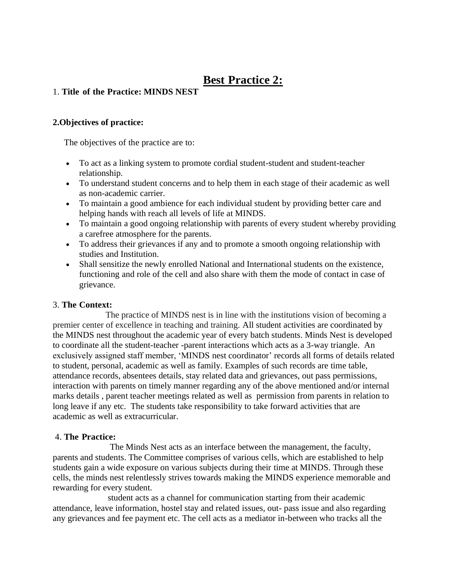# **Best Practice 2:**

## 1. **Title of the Practice: MINDS NEST**

#### **2.Objectives of practice:**

The objectives of the practice are to:

- To act as a linking system to promote cordial student-student and student-teacher relationship.
- To understand student concerns and to help them in each stage of their academic as well as non-academic carrier.
- To maintain a good ambience for each individual student by providing better care and helping hands with reach all levels of life at MINDS.
- To maintain a good ongoing relationship with parents of every student whereby providing a carefree atmosphere for the parents.
- To address their grievances if any and to promote a smooth ongoing relationship with studies and Institution.
- Shall sensitize the newly enrolled National and International students on the existence, functioning and role of the cell and also share with them the mode of contact in case of grievance.

## 3. **The Context:**

 The practice of MINDS nest is in line with the institutions vision of becoming a premier center of excellence in teaching and training. All student activities are coordinated by the MINDS nest throughout the academic year of every batch students. Minds Nest is developed to coordinate all the student-teacher -parent interactions which acts as a 3-way triangle. An exclusively assigned staff member, 'MINDS nest coordinator' records all forms of details related to student, personal, academic as well as family. Examples of such records are time table, attendance records, absentees details, stay related data and grievances, out pass permissions, interaction with parents on timely manner regarding any of the above mentioned and/or internal marks details , parent teacher meetings related as well as permission from parents in relation to long leave if any etc. The students take responsibility to take forward activities that are academic as well as extracurricular.

## 4. **The Practice:**

 The Minds Nest acts as an interface between the management, the faculty, parents and students. The Committee comprises of various cells, which are established to help students gain a wide exposure on various subjects during their time at MINDS. Through these cells, the minds nest relentlessly strives towards making the MINDS experience memorable and rewarding for every student.

 student acts as a channel for communication starting from their academic attendance, leave information, hostel stay and related issues, out- pass issue and also regarding any grievances and fee payment etc. The cell acts as a mediator in-between who tracks all the